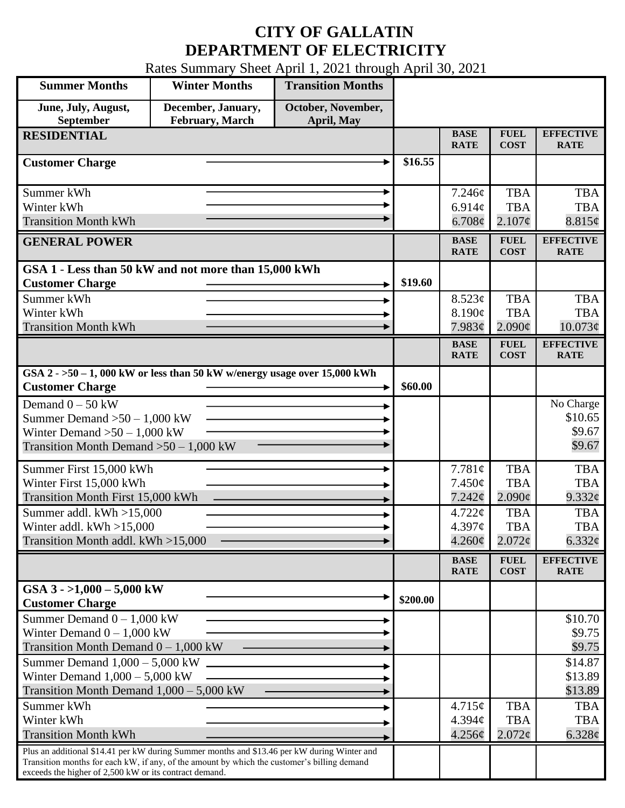## **CITY OF GALLATIN DEPARTMENT OF ELECTRICITY**

Rates Summary Sheet April 1, 2021 through April 30, 2021

| <b>Summer Months</b>                                                                                                                                                                                                                                 | <b>Winter Months</b>                  | <b>Transition Months</b>         |          |                                              |                                               |                                            |
|------------------------------------------------------------------------------------------------------------------------------------------------------------------------------------------------------------------------------------------------------|---------------------------------------|----------------------------------|----------|----------------------------------------------|-----------------------------------------------|--------------------------------------------|
| June, July, August,<br>September                                                                                                                                                                                                                     | December, January,<br>February, March | October, November,<br>April, May |          |                                              |                                               |                                            |
| <b>RESIDENTIAL</b>                                                                                                                                                                                                                                   |                                       |                                  |          | <b>BASE</b><br><b>RATE</b>                   | <b>FUEL</b><br><b>COST</b>                    | <b>EFFECTIVE</b><br><b>RATE</b>            |
| <b>Customer Charge</b>                                                                                                                                                                                                                               |                                       |                                  | \$16.55  |                                              |                                               |                                            |
| Summer kWh<br>Winter kWh<br><b>Transition Month kWh</b>                                                                                                                                                                                              |                                       |                                  |          | 7.246¢<br>6.914 $\phi$<br>$6.708\phi$        | <b>TBA</b><br><b>TBA</b><br>$2.107\phi$       | <b>TBA</b><br><b>TBA</b><br>8.815¢         |
| <b>GENERAL POWER</b>                                                                                                                                                                                                                                 |                                       |                                  |          | <b>BASE</b><br><b>RATE</b>                   | <b>FUEL</b><br><b>COST</b>                    | <b>EFFECTIVE</b><br><b>RATE</b>            |
| GSA 1 - Less than 50 kW and not more than 15,000 kWh<br><b>Customer Charge</b>                                                                                                                                                                       |                                       |                                  | \$19.60  |                                              |                                               |                                            |
| Summer kWh<br>Winter kWh                                                                                                                                                                                                                             |                                       |                                  |          | 8.523¢<br>8.190¢                             | <b>TBA</b><br><b>TBA</b>                      | <b>TBA</b><br><b>TBA</b>                   |
| <b>Transition Month kWh</b>                                                                                                                                                                                                                          |                                       |                                  |          | 7.983¢<br><b>BASE</b><br><b>RATE</b>         | $2.090\text{¢}$<br><b>FUEL</b><br><b>COST</b> | 10.073¢<br><b>EFFECTIVE</b><br><b>RATE</b> |
| GSA $2 - 50 - 1$ , 000 kW or less than 50 kW w/energy usage over 15,000 kWh<br><b>Customer Charge</b>                                                                                                                                                |                                       |                                  | \$60.00  |                                              |                                               |                                            |
| Demand $0 - 50$ kW<br>Summer Demand $>50-1,000$ kW<br>Winter Demand $>50-1,000$ kW<br>Transition Month Demand $>50-1,000$ kW                                                                                                                         |                                       |                                  |          |                                              |                                               | No Charge<br>\$10.65<br>\$9.67<br>\$9.67   |
| Summer First 15,000 kWh<br>Winter First 15,000 kWh<br>Transition Month First 15,000 kWh                                                                                                                                                              |                                       |                                  |          | 7.781¢<br>$7.450\phi$<br>7.242¢              | <b>TBA</b><br><b>TBA</b><br>$2.090\text{¢}$   | <b>TBA</b><br><b>TBA</b><br>$9.332$ ¢      |
| Summer addl. $kWh > 15,000$<br>Winter addl. $kWh > 15,000$<br>Transition Month addl. kWh >15,000                                                                                                                                                     |                                       |                                  |          | $4.722 \mathcal{C}$<br>4.397c<br>$4.260\phi$ | <b>TBA</b><br><b>TBA</b><br>$2.072\phi$       | <b>TBA</b><br><b>TBA</b><br>6.332 $\phi$   |
|                                                                                                                                                                                                                                                      |                                       |                                  |          | <b>BASE</b><br><b>RATE</b>                   | <b>FUEL</b><br><b>COST</b>                    | <b>EFFECTIVE</b><br><b>RATE</b>            |
| GSA $3 - 1,000 - 5,000$ kW<br><b>Customer Charge</b>                                                                                                                                                                                                 |                                       |                                  | \$200.00 |                                              |                                               |                                            |
| Summer Demand $0 - 1,000$ kW<br>Winter Demand $0 - 1,000$ kW<br>Transition Month Demand $0 - 1,000$ kW                                                                                                                                               |                                       |                                  |          |                                              |                                               | \$10.70<br>\$9.75<br>\$9.75                |
| Summer Demand $1,000 - 5,000$ kW<br>Winter Demand $1,000 - 5,000$ kW<br>Transition Month Demand $1,000 - 5,000$ kW                                                                                                                                   |                                       |                                  |          |                                              |                                               | \$14.87<br>\$13.89<br>\$13.89              |
| Summer kWh<br>Winter kWh<br><b>Transition Month kWh</b>                                                                                                                                                                                              |                                       |                                  |          | $4.715\phi$<br>4.394c<br>4.256¢              | <b>TBA</b><br><b>TBA</b><br>$2.072\phi$       | <b>TBA</b><br><b>TBA</b><br>6.328¢         |
| Plus an additional \$14.41 per kW during Summer months and \$13.46 per kW during Winter and<br>Transition months for each kW, if any, of the amount by which the customer's billing demand<br>exceeds the higher of 2,500 kW or its contract demand. |                                       |                                  |          |                                              |                                               |                                            |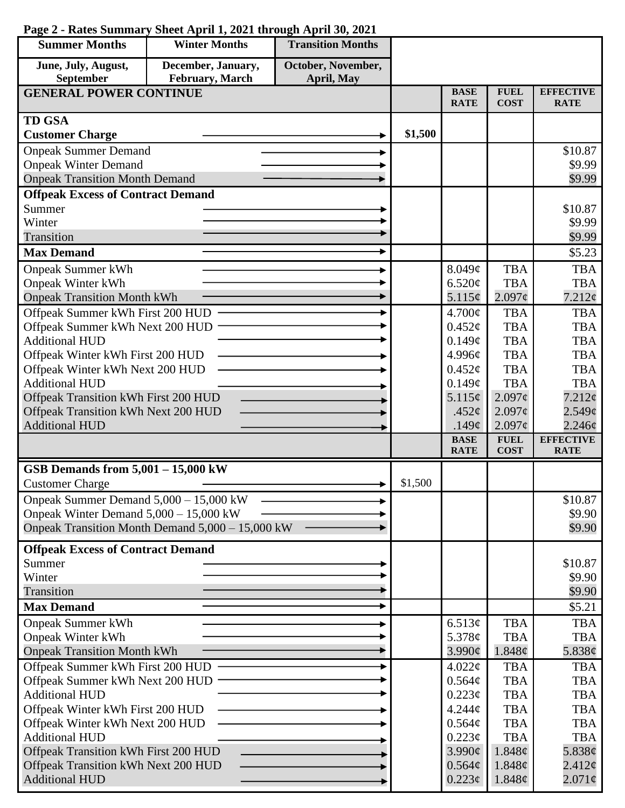| <b>Summer Months</b>                                                        | <b>Winter Months</b>                             | <b>Transition Months</b> |         |                               |                            |                                 |
|-----------------------------------------------------------------------------|--------------------------------------------------|--------------------------|---------|-------------------------------|----------------------------|---------------------------------|
| June, July, August,                                                         | December, January,                               | October, November,       |         |                               |                            |                                 |
| September                                                                   | February, March                                  | April, May               |         |                               |                            |                                 |
| <b>GENERAL POWER CONTINUE</b>                                               |                                                  |                          |         | <b>BASE</b><br><b>RATE</b>    | <b>FUEL</b><br><b>COST</b> | <b>EFFECTIVE</b><br><b>RATE</b> |
| <b>TD GSA</b>                                                               |                                                  |                          |         |                               |                            |                                 |
| <b>Customer Charge</b>                                                      |                                                  |                          | \$1,500 |                               |                            |                                 |
| <b>Onpeak Summer Demand</b>                                                 |                                                  |                          |         |                               |                            | \$10.87                         |
| <b>Onpeak Winter Demand</b>                                                 |                                                  |                          |         |                               |                            | \$9.99                          |
| <b>Onpeak Transition Month Demand</b>                                       |                                                  |                          |         |                               |                            | \$9.99                          |
| <b>Offpeak Excess of Contract Demand</b>                                    |                                                  |                          |         |                               |                            |                                 |
| Summer                                                                      |                                                  |                          |         |                               |                            | \$10.87                         |
| Winter                                                                      |                                                  |                          |         |                               |                            | \$9.99                          |
| Transition                                                                  |                                                  |                          |         |                               |                            | \$9.99                          |
| <b>Max Demand</b>                                                           |                                                  |                          |         |                               |                            | \$5.23                          |
| <b>Onpeak Summer kWh</b>                                                    |                                                  |                          |         | 8.049¢                        | <b>TBA</b>                 | <b>TBA</b>                      |
| <b>Onpeak Winter kWh</b>                                                    |                                                  |                          |         | 6.520¢                        | <b>TBA</b>                 | <b>TBA</b>                      |
| <b>Onpeak Transition Month kWh</b>                                          |                                                  |                          |         | 5.115¢                        | 2.097 <sub>c</sub>         | 7.212¢                          |
| Offpeak Summer kWh First 200 HUD                                            |                                                  |                          |         | 4.700¢                        | <b>TBA</b>                 | <b>TBA</b>                      |
| Offpeak Summer kWh Next 200 HUD                                             |                                                  |                          |         | 0.452¢                        | <b>TBA</b>                 | <b>TBA</b>                      |
| <b>Additional HUD</b>                                                       |                                                  |                          |         | 0.149¢                        | <b>TBA</b>                 | <b>TBA</b>                      |
| Offpeak Winter kWh First 200 HUD                                            |                                                  |                          |         | 4.996¢                        | <b>TBA</b>                 | <b>TBA</b>                      |
| Offpeak Winter kWh Next 200 HUD                                             |                                                  |                          |         | 0.452¢                        | <b>TBA</b>                 | <b>TBA</b>                      |
| <b>Additional HUD</b>                                                       |                                                  |                          |         | 0.149¢                        | <b>TBA</b>                 | <b>TBA</b>                      |
| Offpeak Transition kWh First 200 HUD                                        |                                                  |                          |         | 5.115¢<br>.452 $\mathfrak{c}$ | 2.097¢<br>2.097¢           | 7.212¢<br>2.549¢                |
| Offpeak Transition kWh Next 200 HUD<br><b>Additional HUD</b>                |                                                  |                          |         | .149 $\phi$                   | 2.097¢                     | 2.246¢                          |
|                                                                             |                                                  |                          |         | <b>BASE</b>                   | <b>FUEL</b>                | <b>EFFECTIVE</b>                |
|                                                                             |                                                  |                          |         | <b>RATE</b>                   | <b>COST</b>                | <b>RATE</b>                     |
| GSB Demands from $5,001 - 15,000$ kW                                        |                                                  |                          |         |                               |                            |                                 |
| <b>Customer Charge</b>                                                      |                                                  |                          | \$1,500 |                               |                            |                                 |
| Onpeak Summer Demand 5,000 - 15,000 kW                                      |                                                  |                          |         |                               |                            | \$10.87                         |
| Onpeak Winter Demand $5,000 - 15,000$ kW                                    |                                                  |                          |         |                               |                            | \$9.90                          |
|                                                                             | Onpeak Transition Month Demand 5,000 - 15,000 kW |                          |         |                               |                            | \$9.90                          |
| <b>Offpeak Excess of Contract Demand</b>                                    |                                                  |                          |         |                               |                            |                                 |
| Summer                                                                      |                                                  |                          |         |                               |                            | \$10.87                         |
| Winter                                                                      |                                                  |                          |         |                               |                            | \$9.90                          |
| Transition                                                                  |                                                  |                          |         |                               |                            | \$9.90                          |
| <b>Max Demand</b>                                                           |                                                  |                          |         |                               |                            | \$5.21                          |
| <b>Onpeak Summer kWh</b>                                                    |                                                  |                          |         | 6.513¢                        | <b>TBA</b>                 | <b>TBA</b>                      |
| <b>Onpeak Winter kWh</b>                                                    |                                                  |                          |         | 5.378¢                        | <b>TBA</b>                 | <b>TBA</b>                      |
| <b>Onpeak Transition Month kWh</b>                                          |                                                  |                          |         | $3.990\ell$                   | 1.848¢                     | 5.838¢                          |
| Offpeak Summer kWh First 200 HUD                                            |                                                  |                          |         | $4.022\mathcal{C}$            | <b>TBA</b>                 | <b>TBA</b>                      |
| Offpeak Summer kWh Next 200 HUD                                             |                                                  |                          | 0.564¢  | <b>TBA</b>                    | <b>TBA</b>                 |                                 |
| <b>Additional HUD</b>                                                       |                                                  |                          | 0.223¢  | <b>TBA</b>                    | <b>TBA</b>                 |                                 |
| Offpeak Winter kWh First 200 HUD                                            |                                                  |                          |         | $4.244\phi$                   | <b>TBA</b>                 | <b>TBA</b>                      |
| Offpeak Winter kWh Next 200 HUD                                             |                                                  |                          |         | 0.564¢                        | <b>TBA</b>                 | <b>TBA</b>                      |
| <b>Additional HUD</b>                                                       |                                                  |                          |         | 0.223¢                        | <b>TBA</b>                 | <b>TBA</b>                      |
| Offpeak Transition kWh First 200 HUD<br>Offpeak Transition kWh Next 200 HUD |                                                  |                          |         | 3.990¢<br>$0.564\phi$         | 1.848¢<br>1.848¢           | 5.838¢<br>2.412¢                |
| <b>Additional HUD</b>                                                       |                                                  |                          |         | $0.223\phi$                   | 1.848¢                     | $2.071\phi$                     |
|                                                                             |                                                  |                          |         |                               |                            |                                 |

## **Page 2 - Rates Summary Sheet April 1, 2021 through April 30, 2021**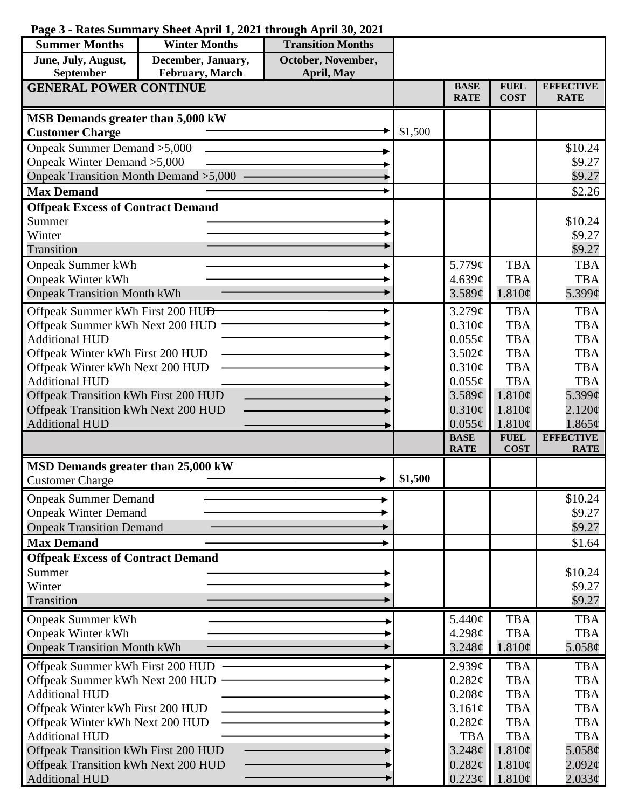## **Page 3 - Rates Summary Sheet April 1, 2021 through April 30, 2021**

| <b>Summer Months</b>                                                | <b>Winter Months</b> | <b>Transition Months</b> |         |                            |                            |                                 |
|---------------------------------------------------------------------|----------------------|--------------------------|---------|----------------------------|----------------------------|---------------------------------|
| June, July, August,                                                 | December, January,   | October, November,       |         |                            |                            |                                 |
| February, March<br>September<br>April, May                          |                      |                          |         |                            |                            |                                 |
| <b>GENERAL POWER CONTINUE</b>                                       |                      |                          |         | <b>BASE</b><br><b>RATE</b> | <b>FUEL</b><br><b>COST</b> | <b>EFFECTIVE</b><br><b>RATE</b> |
| MSB Demands greater than 5,000 kW                                   |                      |                          |         |                            |                            |                                 |
| <b>Customer Charge</b>                                              |                      |                          | \$1,500 |                            |                            |                                 |
| Onpeak Summer Demand > 5,000                                        |                      |                          |         |                            |                            | \$10.24                         |
| Onpeak Winter Demand > 5,000                                        |                      |                          |         |                            |                            | \$9.27                          |
| Onpeak Transition Month Demand > 5,000                              |                      |                          |         |                            |                            | \$9.27                          |
| <b>Max Demand</b>                                                   |                      |                          |         |                            |                            | \$2.26                          |
| <b>Offpeak Excess of Contract Demand</b>                            |                      |                          |         |                            |                            |                                 |
| Summer                                                              |                      |                          |         |                            |                            | \$10.24                         |
| Winter                                                              |                      |                          |         |                            |                            | \$9.27                          |
| Transition                                                          |                      |                          |         |                            |                            | \$9.27                          |
| <b>Onpeak Summer kWh</b>                                            |                      |                          |         | 5.779¢                     | <b>TBA</b>                 | <b>TBA</b>                      |
| <b>Onpeak Winter kWh</b><br><b>Onpeak Transition Month kWh</b>      |                      |                          |         | 4.639¢                     | <b>TBA</b><br>1.810¢       | <b>TBA</b>                      |
|                                                                     |                      |                          |         | 3.589¢                     |                            | 5.399¢                          |
| Offpeak Summer kWh First 200 HU <del>D</del>                        |                      |                          |         | 3.279¢                     | <b>TBA</b>                 | <b>TBA</b>                      |
| Offpeak Summer kWh Next 200 HUD                                     |                      |                          |         | 0.310¢                     | <b>TBA</b>                 | <b>TBA</b>                      |
| <b>Additional HUD</b>                                               |                      |                          |         | $0.055\phi$                | <b>TBA</b><br><b>TBA</b>   | <b>TBA</b><br><b>TBA</b>        |
| Offpeak Winter kWh First 200 HUD<br>Offpeak Winter kWh Next 200 HUD |                      |                          |         | 3.502¢<br>$0.310\phi$      | <b>TBA</b>                 | <b>TBA</b>                      |
| <b>Additional HUD</b>                                               |                      |                          |         | $0.055\phi$                | <b>TBA</b>                 | <b>TBA</b>                      |
| Offpeak Transition kWh First 200 HUD                                |                      |                          |         | 3.589¢                     | 1.810¢                     | 5.399¢                          |
| Offpeak Transition kWh Next 200 HUD                                 |                      |                          |         | $0.310\phi$                | 1.810¢                     | $2.120\phi$                     |
| <b>Additional HUD</b>                                               |                      |                          |         | $0.055\phi$                | 1.810¢                     | $1.865\phi$                     |
|                                                                     |                      |                          |         | <b>BASE</b>                | <b>FUEL</b>                | <b>EFFECTIVE</b>                |
|                                                                     |                      |                          |         | <b>RATE</b>                | <b>COST</b>                | <b>RATE</b>                     |
| MSD Demands greater than 25,000 kW                                  |                      |                          |         |                            |                            |                                 |
| <b>Customer Charge</b>                                              |                      |                          | \$1,500 |                            |                            |                                 |
| <b>Onpeak Summer Demand</b>                                         |                      |                          |         |                            |                            | \$10.24                         |
| <b>Onpeak Winter Demand</b>                                         |                      |                          |         |                            |                            | \$9.27                          |
| <b>Onpeak Transition Demand</b>                                     |                      |                          |         |                            |                            | \$9.27                          |
| <b>Max Demand</b>                                                   |                      |                          |         |                            |                            | \$1.64                          |
| <b>Offpeak Excess of Contract Demand</b>                            |                      |                          |         |                            |                            |                                 |
| Summer                                                              |                      |                          |         |                            |                            | \$10.24                         |
| Winter<br>Transition                                                |                      |                          |         |                            |                            | \$9.27                          |
|                                                                     |                      |                          |         |                            |                            | \$9.27                          |
| <b>Onpeak Summer kWh</b>                                            |                      |                          |         | 5.440¢                     | <b>TBA</b>                 | <b>TBA</b>                      |
| <b>Onpeak Winter kWh</b>                                            |                      |                          |         | 4.298c                     | <b>TBA</b>                 | <b>TBA</b>                      |
| <b>Onpeak Transition Month kWh</b>                                  |                      |                          |         | 3.248¢                     | 1.810¢                     | 5.058 $\phi$                    |
| Offpeak Summer kWh First 200 HUD                                    |                      |                          |         | $2.939\mathcal{C}$         | <b>TBA</b>                 | <b>TBA</b>                      |
| Offpeak Summer kWh Next 200 HUD -                                   |                      |                          |         | 0.282¢                     | <b>TBA</b>                 | <b>TBA</b>                      |
| <b>Additional HUD</b>                                               |                      |                          |         | $0.208\mathcal{C}$         | <b>TBA</b>                 | <b>TBA</b>                      |
| Offpeak Winter kWh First 200 HUD                                    |                      |                          |         | 3.161¢<br>0.282¢           | <b>TBA</b><br><b>TBA</b>   | <b>TBA</b><br><b>TBA</b>        |
| Offpeak Winter kWh Next 200 HUD<br><b>Additional HUD</b>            |                      |                          |         | <b>TBA</b>                 | <b>TBA</b>                 | <b>TBA</b>                      |
| Offpeak Transition kWh First 200 HUD                                |                      |                          |         | 3.248¢                     | 1.810¢                     | 5.058 $\phi$                    |
| Offpeak Transition kWh Next 200 HUD                                 |                      |                          |         | 0.282¢                     | 1.810¢                     | $2.092\phi$                     |
| <b>Additional HUD</b>                                               |                      |                          |         | $0.223\phi$                | 1.810¢                     | $2.033\phi$                     |